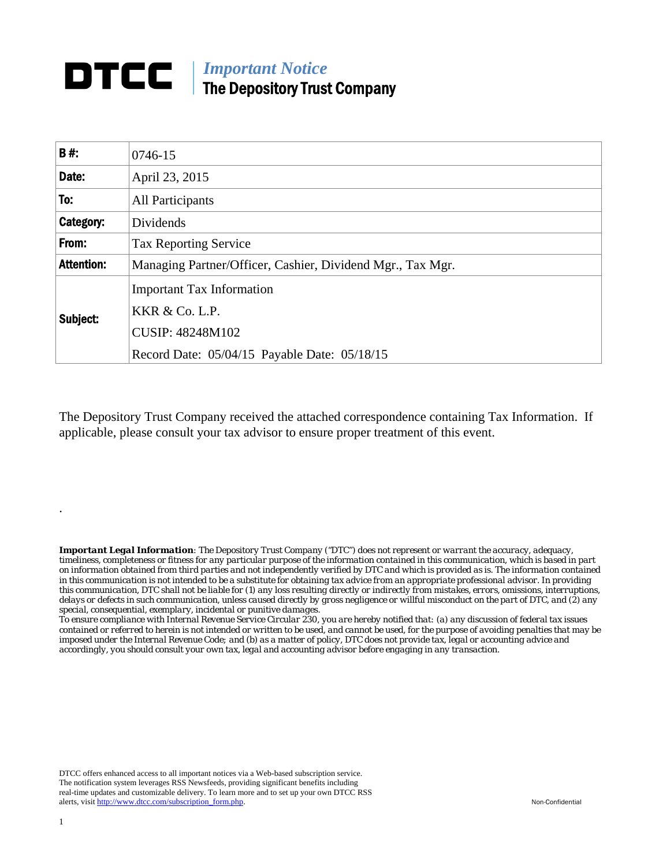## *Important Notice*  The Depository Trust Company

| <b>B#:</b>        | 0746-15                                                                                                                       |  |
|-------------------|-------------------------------------------------------------------------------------------------------------------------------|--|
| Date:             | April 23, 2015                                                                                                                |  |
| To:               | All Participants                                                                                                              |  |
| Category:         | Dividends                                                                                                                     |  |
| From:             | <b>Tax Reporting Service</b>                                                                                                  |  |
| <b>Attention:</b> | Managing Partner/Officer, Cashier, Dividend Mgr., Tax Mgr.                                                                    |  |
| Subject:          | <b>Important Tax Information</b><br>KKR & Co. L.P.<br><b>CUSIP: 48248M102</b><br>Record Date: 05/04/15 Payable Date: 05/18/15 |  |

The Depository Trust Company received the attached correspondence containing Tax Information. If applicable, please consult your tax advisor to ensure proper treatment of this event.

*Important Legal Information: The Depository Trust Company ("DTC") does not represent or warrant the accuracy, adequacy, timeliness, completeness or fitness for any particular purpose of the information contained in this communication, which is based in part on information obtained from third parties and not independently verified by DTC and which is provided as is. The information contained in this communication is not intended to be a substitute for obtaining tax advice from an appropriate professional advisor. In providing this communication, DTC shall not be liable for (1) any loss resulting directly or indirectly from mistakes, errors, omissions, interruptions, delays or defects in such communication, unless caused directly by gross negligence or willful misconduct on the part of DTC, and (2) any special, consequential, exemplary, incidental or punitive damages.* 

*To ensure compliance with Internal Revenue Service Circular 230, you are hereby notified that: (a) any discussion of federal tax issues contained or referred to herein is not intended or written to be used, and cannot be used, for the purpose of avoiding penalties that may be imposed under the Internal Revenue Code; and (b) as a matter of policy, DTC does not provide tax, legal or accounting advice and accordingly, you should consult your own tax, legal and accounting advisor before engaging in any transaction.*

DTCC offers enhanced access to all important notices via a Web-based subscription service. The notification system leverages RSS Newsfeeds, providing significant benefits including real-time updates and customizable delivery. To learn more and to set up your own DTCC RSS alerts, visit http://www.dtcc.com/subscription\_form.php. Non-Confidential

.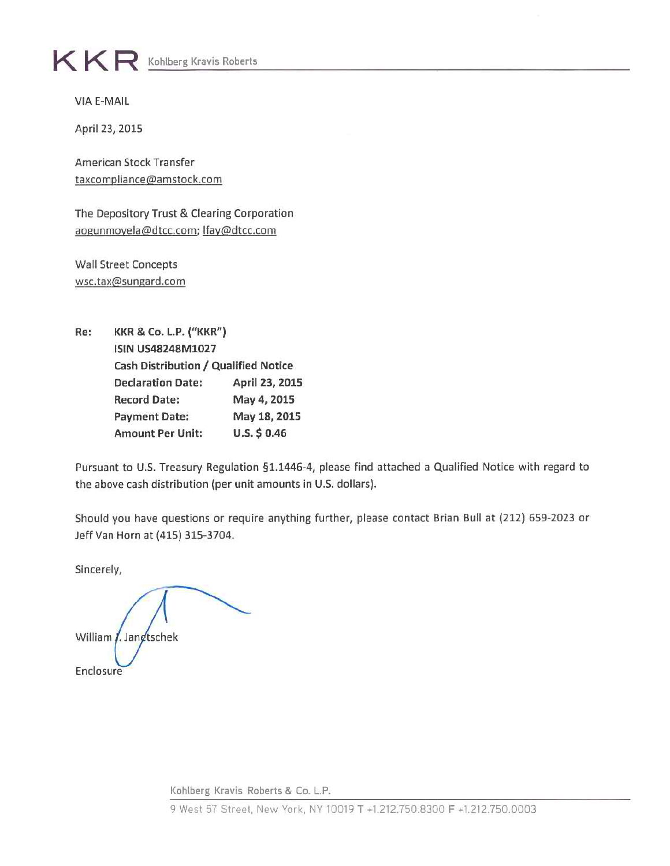## $K \mathsf{R}$  Kohlberg Kravis Roberts

**VIA E-MAIL** 

April 23, 2015

American Stock Transfer taxcompliance@amstock.com

The Depository Trust & Clearing Corporation aogunmoyela@dtcc.com; lfay@dtcc.com

**Wall Street Concepts** wsc.tax@sungard.com

**KKR & Co. L.P. ("KKR")** Re: **ISIN US48248M1027** Cash Distribution / Qualified Notice **Declaration Date:** April 23, 2015 **Record Date:** May 4, 2015 May 18, 2015 **Payment Date:**  $U.S. $0.46$ **Amount Per Unit:** 

Pursuant to U.S. Treasury Regulation §1.1446-4, please find attached a Qualified Notice with regard to the above cash distribution (per unit amounts in U.S. dollars).

Should you have questions or require anything further, please contact Brian Bull at (212) 659-2023 or Jeff Van Horn at (415) 315-3704.

Sincerely,

William / Jangtschek Enclosure